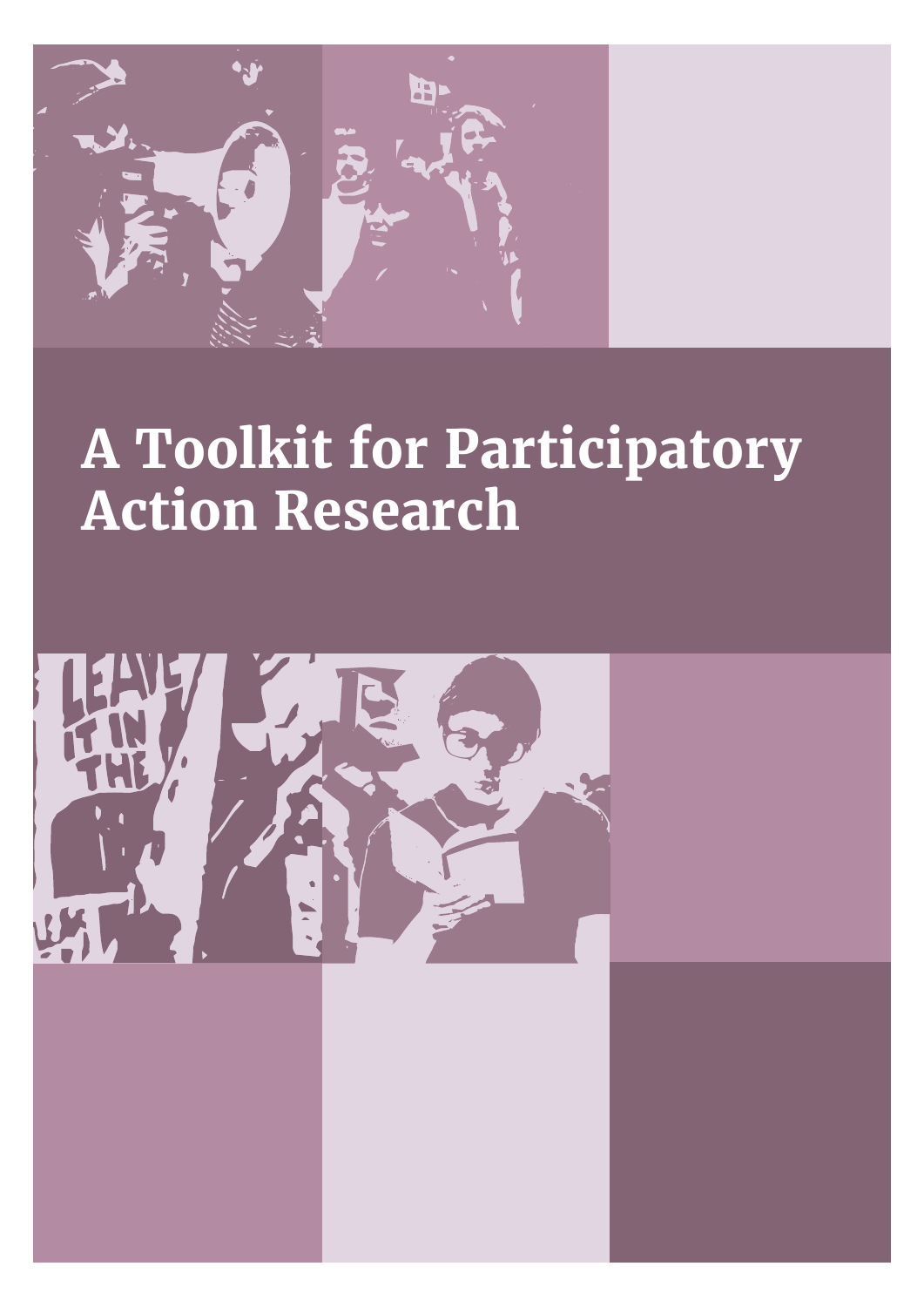

# **A Toolkit for Participatory Action Research**

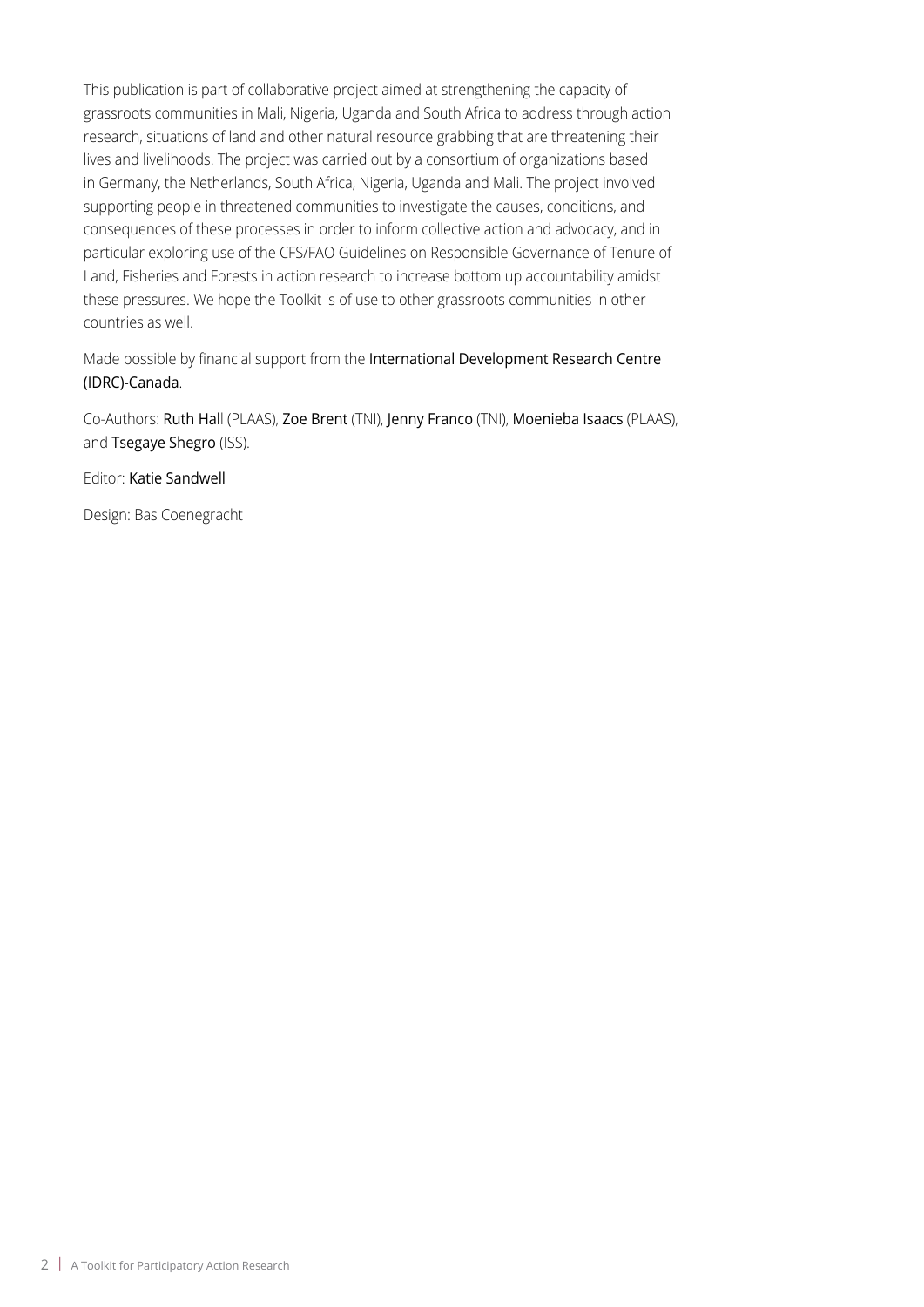This publication is part of collaborative project aimed at strengthening the capacity of grassroots communities in Mali, Nigeria, Uganda and South Africa to address through action research, situations of land and other natural resource grabbing that are threatening their lives and livelihoods. The project was carried out by a consortium of organizations based in Germany, the Netherlands, South Africa, Nigeria, Uganda and Mali. The project involved supporting people in threatened communities to investigate the causes, conditions, and consequences of these processes in order to inform collective action and advocacy, and in particular exploring use of the CFS/FAO Guidelines on Responsible Governance of Tenure of Land, Fisheries and Forests in action research to increase bottom up accountability amidst these pressures. We hope the Toolkit is of use to other grassroots communities in other countries as well.

Made possible by financial support from the International Development Research Centre (IDRC)-Canada.

Co-Authors: Ruth Hall (PLAAS), Zoe Brent (TNI), Jenny Franco (TNI), Moenieba Isaacs (PLAAS), and Tsegaye Shegro (ISS).

Editor: Katie Sandwell

Design: Bas Coenegracht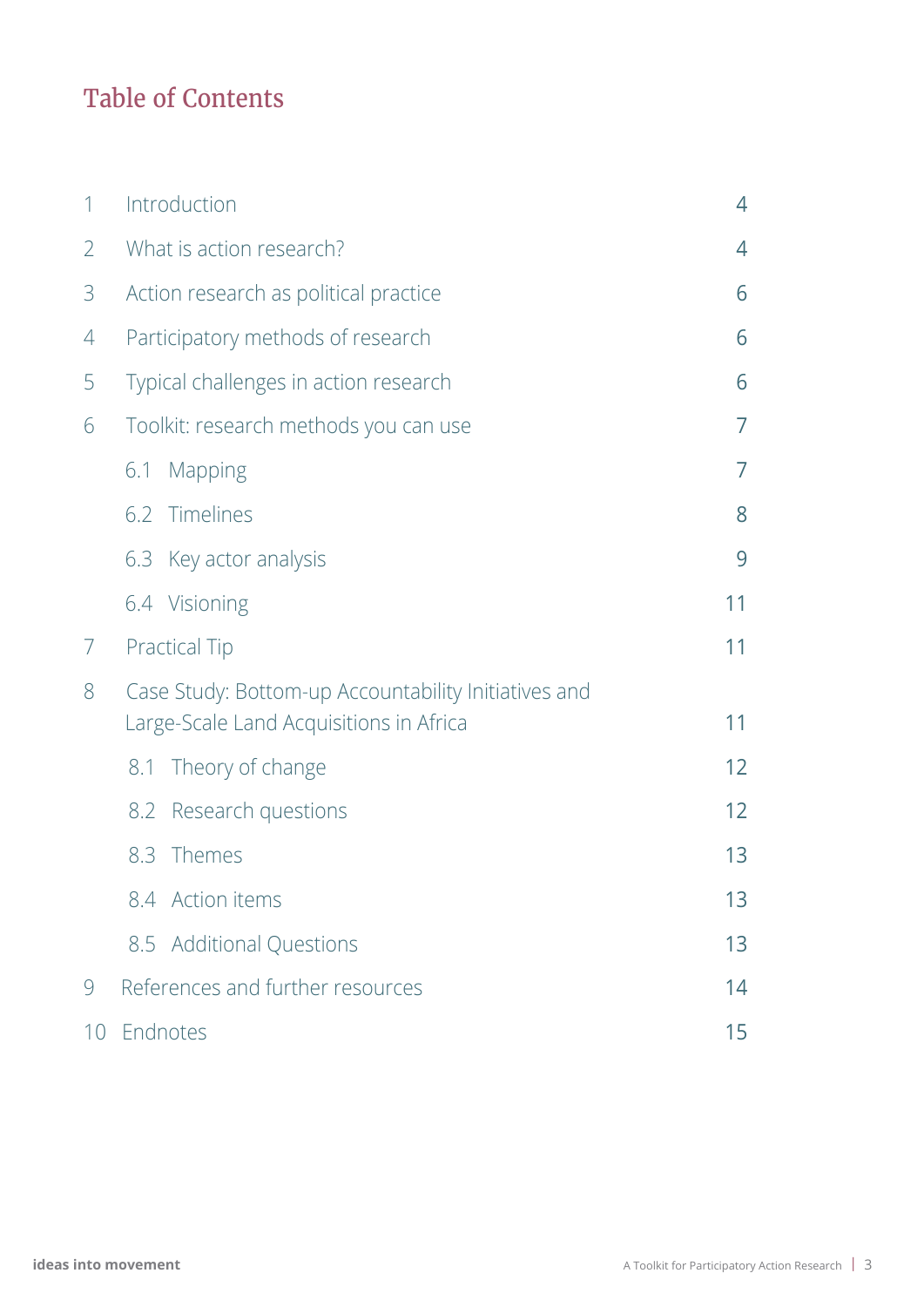## Table of Contents

| 1              | Introduction                                                                                    |    |  |
|----------------|-------------------------------------------------------------------------------------------------|----|--|
| $\overline{2}$ | What is action research?                                                                        |    |  |
| 3              | Action research as political practice                                                           |    |  |
| 4              | Participatory methods of research<br>6                                                          |    |  |
| 5              | Typical challenges in action research<br>6                                                      |    |  |
| 6              | Toolkit: research methods you can use                                                           | 7  |  |
|                | Mapping<br>6.1                                                                                  | 7  |  |
|                | 6.2 Timelines                                                                                   | 8  |  |
|                | 6.3 Key actor analysis                                                                          | 9  |  |
|                | 6.4 Visioning                                                                                   | 11 |  |
| 7              | <b>Practical Tip</b>                                                                            | 11 |  |
| 8              | Case Study: Bottom-up Accountability Initiatives and<br>Large-Scale Land Acquisitions in Africa | 11 |  |
|                | Theory of change<br>8.1                                                                         | 12 |  |
|                | Research questions<br>8.2                                                                       | 12 |  |
|                | 8.3<br>Themes                                                                                   | 13 |  |
|                | 8.4 Action items                                                                                | 13 |  |
|                | 8.5 Additional Questions                                                                        | 13 |  |
| 9              | References and further resources<br>14                                                          |    |  |
| 10             | Endnotes<br>15                                                                                  |    |  |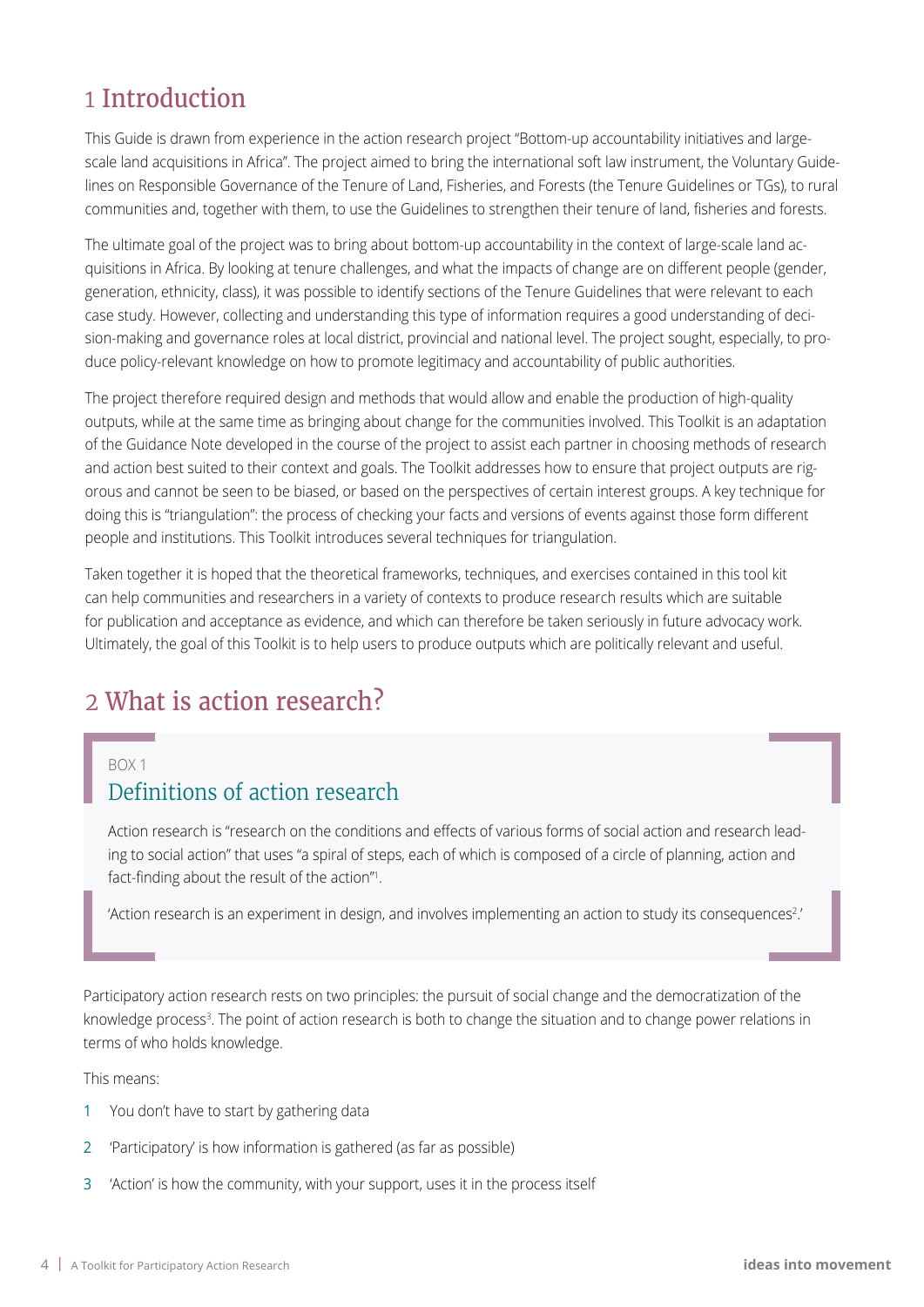### 1 Introduction

This Guide is drawn from experience in the action research project "Bottom-up accountability initiatives and largescale land acquisitions in Africa". The project aimed to bring the international soft law instrument, the Voluntary Guidelines on Responsible Governance of the Tenure of Land, Fisheries, and Forests (the Tenure Guidelines or TGs), to rural communities and, together with them, to use the Guidelines to strengthen their tenure of land, fisheries and forests.

The ultimate goal of the project was to bring about bottom-up accountability in the context of large-scale land acquisitions in Africa. By looking at tenure challenges, and what the impacts of change are on different people (gender, generation, ethnicity, class), it was possible to identify sections of the Tenure Guidelines that were relevant to each case study. However, collecting and understanding this type of information requires a good understanding of decision-making and governance roles at local district, provincial and national level. The project sought, especially, to produce policy-relevant knowledge on how to promote legitimacy and accountability of public authorities.

The project therefore required design and methods that would allow and enable the production of high-quality outputs, while at the same time as bringing about change for the communities involved. This Toolkit is an adaptation of the Guidance Note developed in the course of the project to assist each partner in choosing methods of research and action best suited to their context and goals. The Toolkit addresses how to ensure that project outputs are rigorous and cannot be seen to be biased, or based on the perspectives of certain interest groups. A key technique for doing this is "triangulation": the process of checking your facts and versions of events against those form different people and institutions. This Toolkit introduces several techniques for triangulation.

Taken together it is hoped that the theoretical frameworks, techniques, and exercises contained in this tool kit can help communities and researchers in a variety of contexts to produce research results which are suitable for publication and acceptance as evidence, and which can therefore be taken seriously in future advocacy work. Ultimately, the goal of this Toolkit is to help users to produce outputs which are politically relevant and useful.

### 2 What is action research?

#### $ROX1$

### Definitions of action research

Action research is "research on the conditions and effects of various forms of social action and research leading to social action" that uses "a spiral of steps, each of which is composed of a circle of planning, action and fact-finding about the result of the action"<sup>1</sup> .

'Action research is an experiment in design, and involves implementing an action to study its consequences?.'

Participatory action research rests on two principles: the pursuit of social change and the democratization of the knowledge process<sup>3</sup>. The point of action research is both to change the situation and to change power relations in terms of who holds knowledge.

This means:

- 1 You don't have to start by gathering data
- 2 'Participatory' is how information is gathered (as far as possible)
- 3 'Action' is how the community, with your support, uses it in the process itself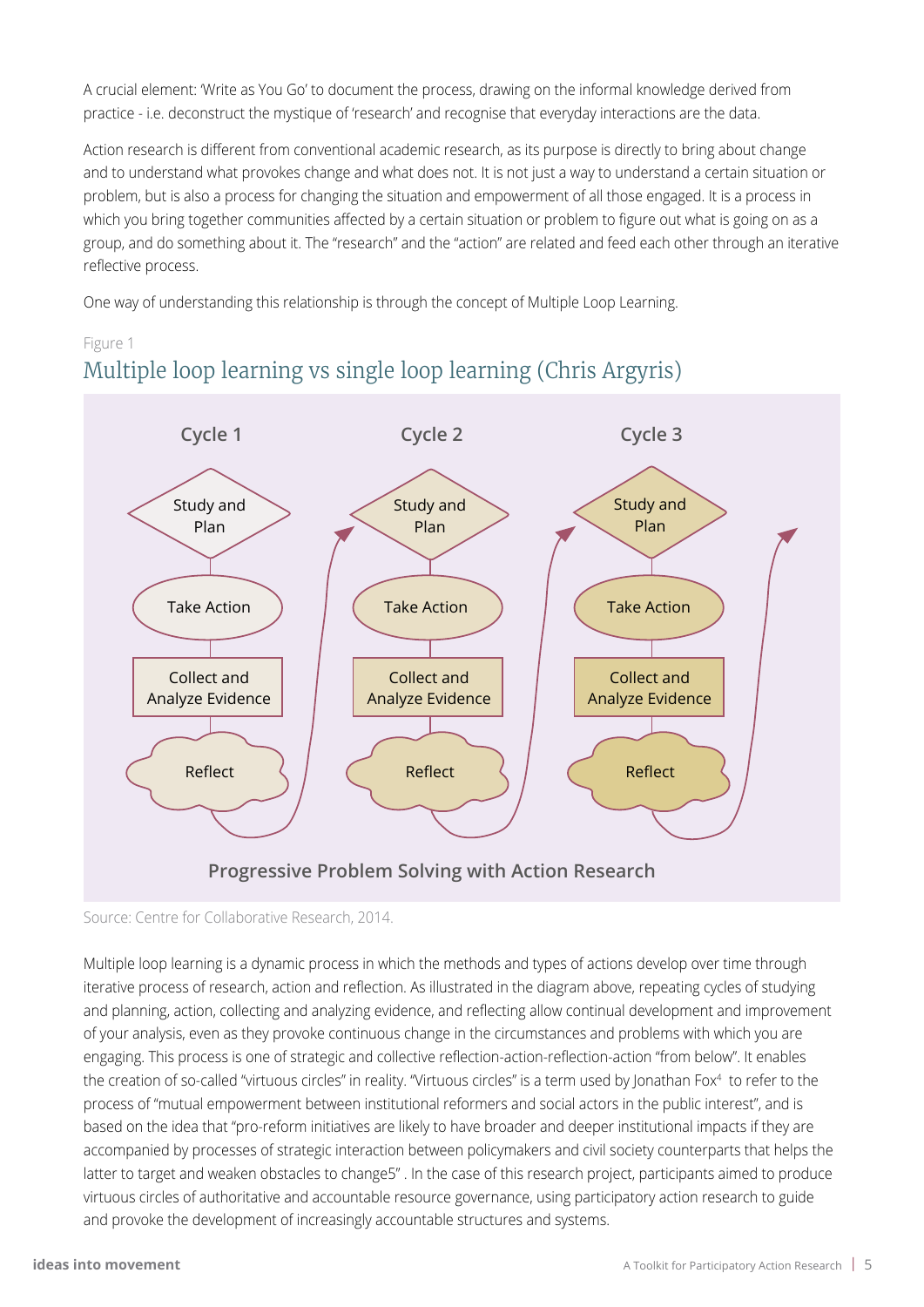A crucial element: 'Write as You Go' to document the process, drawing on the informal knowledge derived from practice - i.e. deconstruct the mystique of 'research' and recognise that everyday interactions are the data.

Action research is different from conventional academic research, as its purpose is directly to bring about change and to understand what provokes change and what does not. It is not just a way to understand a certain situation or problem, but is also a process for changing the situation and empowerment of all those engaged. It is a process in which you bring together communities affected by a certain situation or problem to figure out what is going on as a group, and do something about it. The "research" and the "action" are related and feed each other through an iterative reflective process.

One way of understanding this relationship is through the concept of Multiple Loop Learning.

#### Figure 1 Multiple loop learning vs single loop learning (Chris Argyris)



Source: Centre for Collaborative Research, 2014.

Multiple loop learning is a dynamic process in which the methods and types of actions develop over time through iterative process of research, action and reflection. As illustrated in the diagram above, repeating cycles of studying and planning, action, collecting and analyzing evidence, and reflecting allow continual development and improvement of your analysis, even as they provoke continuous change in the circumstances and problems with which you are engaging. This process is one of strategic and collective reflection-action-reflection-action "from below". It enables the creation of so-called "virtuous circles" in reality. "Virtuous circles" is a term used by Jonathan Fox4 to refer to the process of "mutual empowerment between institutional reformers and social actors in the public interest", and is based on the idea that "pro-reform initiatives are likely to have broader and deeper institutional impacts if they are accompanied by processes of strategic interaction between policymakers and civil society counterparts that helps the latter to target and weaken obstacles to change5" . In the case of this research project, participants aimed to produce virtuous circles of authoritative and accountable resource governance, using participatory action research to guide and provoke the development of increasingly accountable structures and systems.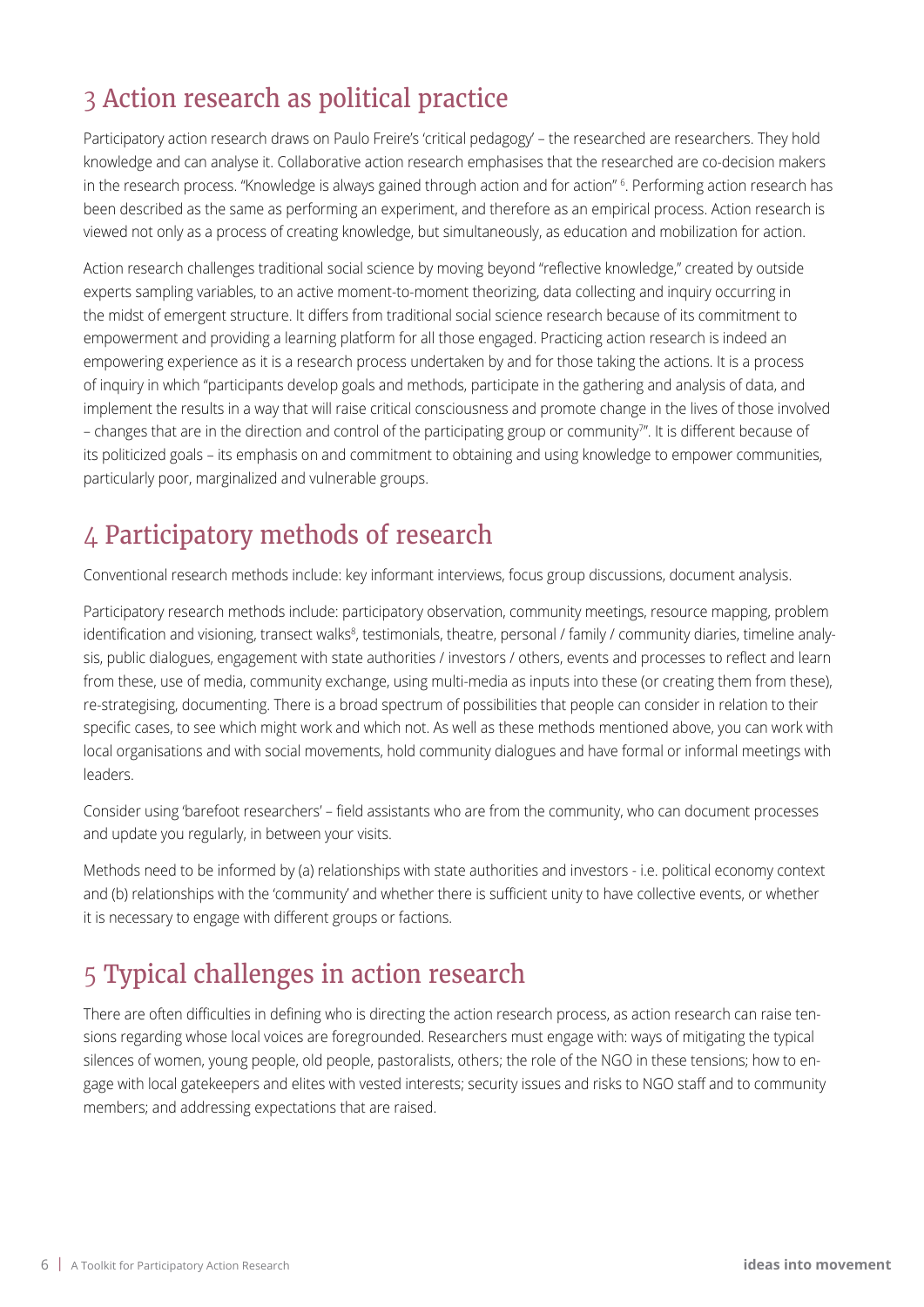### 3 Action research as political practice

Participatory action research draws on Paulo Freire's 'critical pedagogy' – the researched are researchers. They hold knowledge and can analyse it. Collaborative action research emphasises that the researched are co-decision makers in the research process. "Knowledge is always gained through action and for action" 6 . Performing action research has been described as the same as performing an experiment, and therefore as an empirical process. Action research is viewed not only as a process of creating knowledge, but simultaneously, as education and mobilization for action.

Action research challenges traditional social science by moving beyond "reflective knowledge," created by outside experts sampling variables, to an active moment-to-moment theorizing, data collecting and inquiry occurring in the midst of emergent structure. It differs from traditional social science research because of its commitment to empowerment and providing a learning platform for all those engaged. Practicing action research is indeed an empowering experience as it is a research process undertaken by and for those taking the actions. It is a process of inquiry in which "participants develop goals and methods, participate in the gathering and analysis of data, and implement the results in a way that will raise critical consciousness and promote change in the lives of those involved – changes that are in the direction and control of the participating group or community"'. It is different because of its politicized goals – its emphasis on and commitment to obtaining and using knowledge to empower communities, particularly poor, marginalized and vulnerable groups.

### 4 Participatory methods of research

Conventional research methods include: key informant interviews, focus group discussions, document analysis.

Participatory research methods include: participatory observation, community meetings, resource mapping, problem identification and visioning, transect walks<sup>8</sup>, testimonials, theatre, personal / family / community diaries, timeline analysis, public dialogues, engagement with state authorities / investors / others, events and processes to reflect and learn from these, use of media, community exchange, using multi-media as inputs into these (or creating them from these), re-strategising, documenting. There is a broad spectrum of possibilities that people can consider in relation to their specific cases, to see which might work and which not. As well as these methods mentioned above, you can work with local organisations and with social movements, hold community dialogues and have formal or informal meetings with leaders.

Consider using 'barefoot researchers' – field assistants who are from the community, who can document processes and update you regularly, in between your visits.

Methods need to be informed by (a) relationships with state authorities and investors - i.e. political economy context and (b) relationships with the 'community' and whether there is sufficient unity to have collective events, or whether it is necessary to engage with different groups or factions.

### 5 Typical challenges in action research

There are often difficulties in defining who is directing the action research process, as action research can raise tensions regarding whose local voices are foregrounded. Researchers must engage with: ways of mitigating the typical silences of women, young people, old people, pastoralists, others; the role of the NGO in these tensions; how to engage with local gatekeepers and elites with vested interests; security issues and risks to NGO staff and to community members; and addressing expectations that are raised.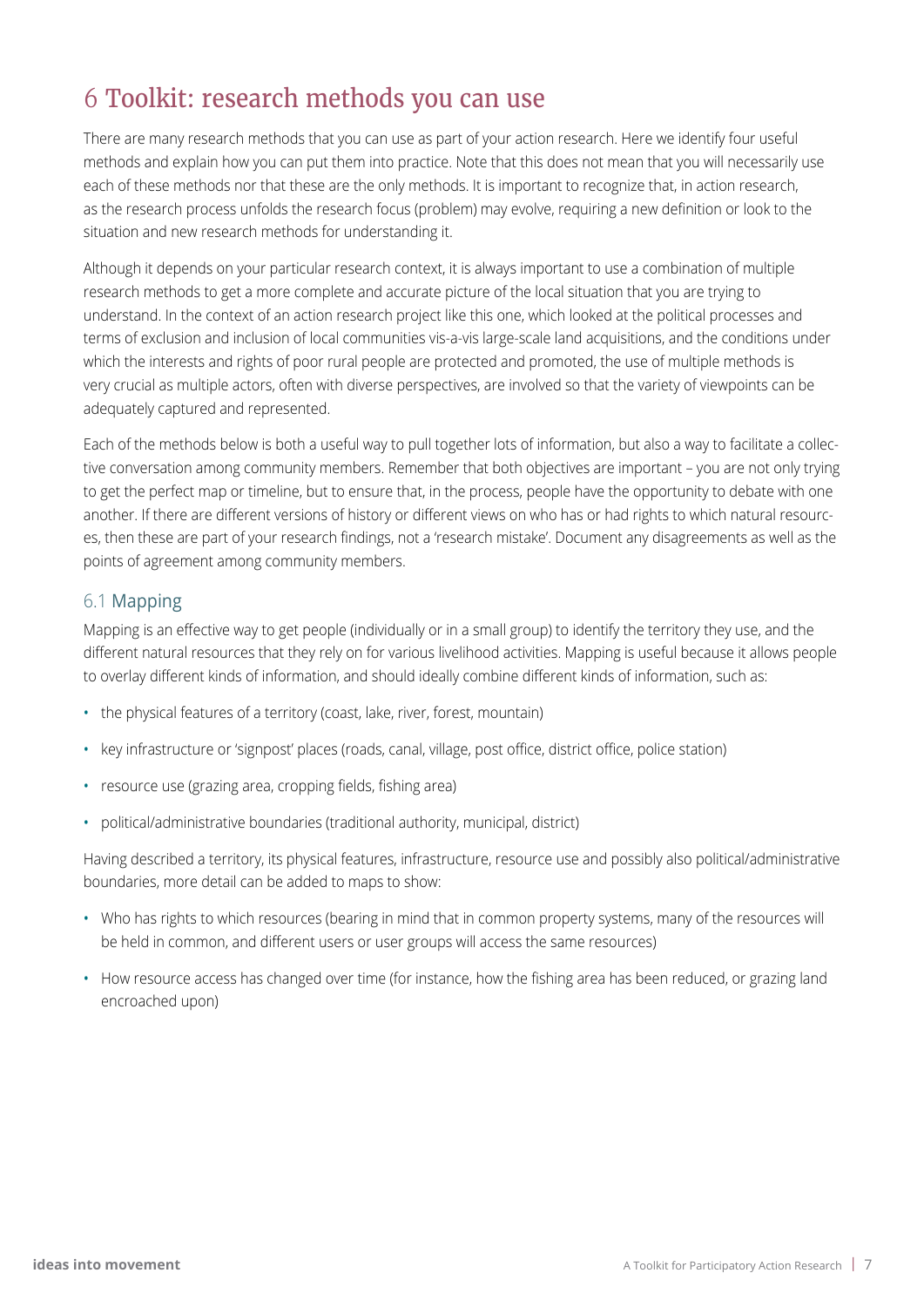### 6 Toolkit: research methods you can use

There are many research methods that you can use as part of your action research. Here we identify four useful methods and explain how you can put them into practice. Note that this does not mean that you will necessarily use each of these methods nor that these are the only methods. It is important to recognize that, in action research, as the research process unfolds the research focus (problem) may evolve, requiring a new definition or look to the situation and new research methods for understanding it.

Although it depends on your particular research context, it is always important to use a combination of multiple research methods to get a more complete and accurate picture of the local situation that you are trying to understand. In the context of an action research project like this one, which looked at the political processes and terms of exclusion and inclusion of local communities vis-a-vis large-scale land acquisitions, and the conditions under which the interests and rights of poor rural people are protected and promoted, the use of multiple methods is very crucial as multiple actors, often with diverse perspectives, are involved so that the variety of viewpoints can be adequately captured and represented.

Each of the methods below is both a useful way to pull together lots of information, but also a way to facilitate a collective conversation among community members. Remember that both objectives are important – you are not only trying to get the perfect map or timeline, but to ensure that, in the process, people have the opportunity to debate with one another. If there are different versions of history or different views on who has or had rights to which natural resources, then these are part of your research findings, not a 'research mistake'. Document any disagreements as well as the points of agreement among community members.

#### 6.1 Mapping

Mapping is an effective way to get people (individually or in a small group) to identify the territory they use, and the different natural resources that they rely on for various livelihood activities. Mapping is useful because it allows people to overlay different kinds of information, and should ideally combine different kinds of information, such as:

- the physical features of a territory (coast, lake, river, forest, mountain)
- key infrastructure or 'signpost' places (roads, canal, village, post office, district office, police station)
- resource use (grazing area, cropping fields, fishing area)
- political/administrative boundaries (traditional authority, municipal, district)

Having described a territory, its physical features, infrastructure, resource use and possibly also political/administrative boundaries, more detail can be added to maps to show:

- • Who has rights to which resources (bearing in mind that in common property systems, many of the resources will be held in common, and different users or user groups will access the same resources)
- • How resource access has changed over time (for instance, how the fishing area has been reduced, or grazing land encroached upon)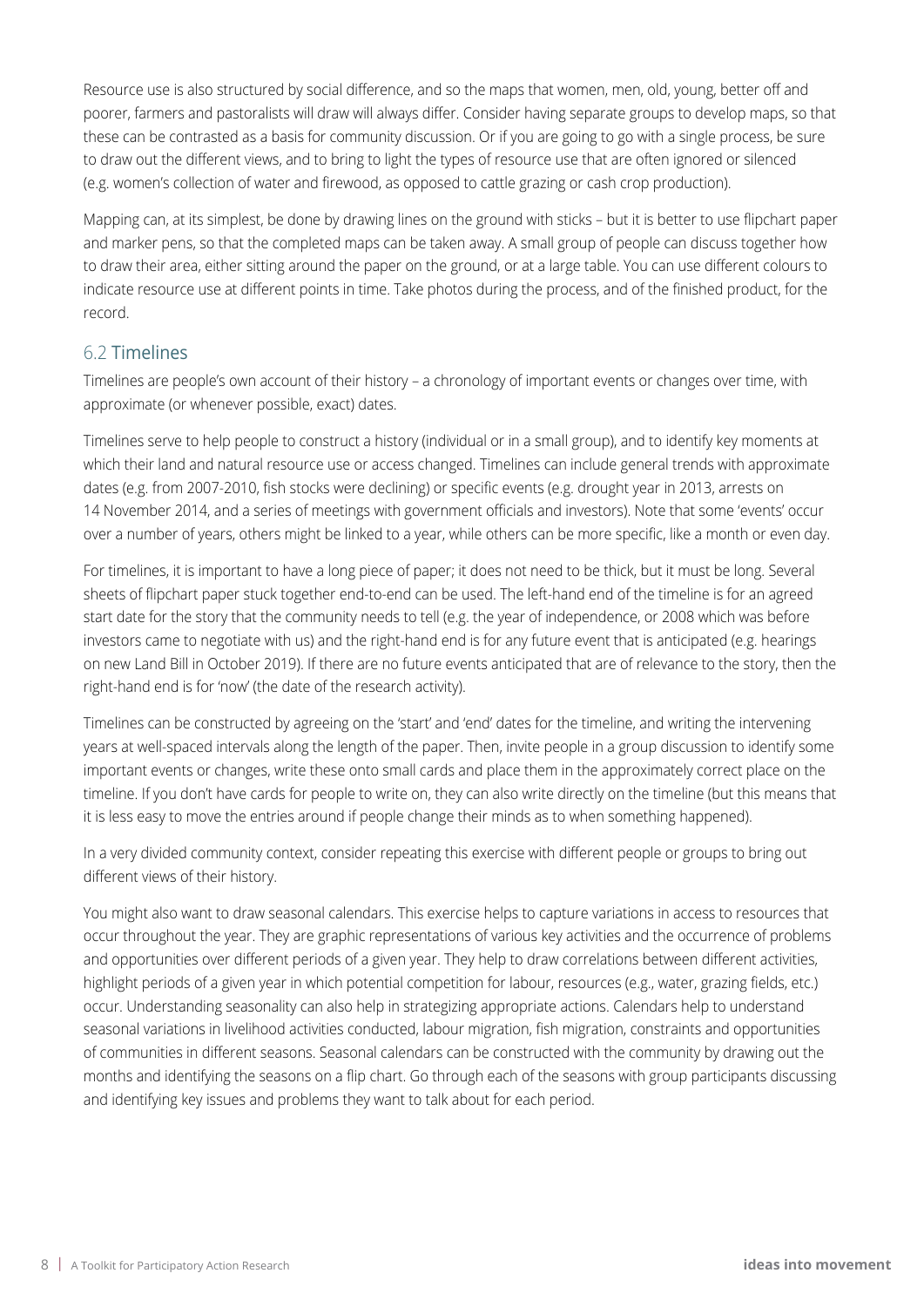Resource use is also structured by social difference, and so the maps that women, men, old, young, better off and poorer, farmers and pastoralists will draw will always differ. Consider having separate groups to develop maps, so that these can be contrasted as a basis for community discussion. Or if you are going to go with a single process, be sure to draw out the different views, and to bring to light the types of resource use that are often ignored or silenced (e.g. women's collection of water and firewood, as opposed to cattle grazing or cash crop production).

Mapping can, at its simplest, be done by drawing lines on the ground with sticks – but it is better to use flipchart paper and marker pens, so that the completed maps can be taken away. A small group of people can discuss together how to draw their area, either sitting around the paper on the ground, or at a large table. You can use different colours to indicate resource use at different points in time. Take photos during the process, and of the finished product, for the record.

#### 6.2 Timelines

Timelines are people's own account of their history – a chronology of important events or changes over time, with approximate (or whenever possible, exact) dates.

Timelines serve to help people to construct a history (individual or in a small group), and to identify key moments at which their land and natural resource use or access changed. Timelines can include general trends with approximate dates (e.g. from 2007-2010, fish stocks were declining) or specific events (e.g. drought year in 2013, arrests on 14 November 2014, and a series of meetings with government officials and investors). Note that some 'events' occur over a number of years, others might be linked to a year, while others can be more specific, like a month or even day.

For timelines, it is important to have a long piece of paper; it does not need to be thick, but it must be long. Several sheets of flipchart paper stuck together end-to-end can be used. The left-hand end of the timeline is for an agreed start date for the story that the community needs to tell (e.g. the year of independence, or 2008 which was before investors came to negotiate with us) and the right-hand end is for any future event that is anticipated (e.g. hearings on new Land Bill in October 2019). If there are no future events anticipated that are of relevance to the story, then the right-hand end is for 'now' (the date of the research activity).

Timelines can be constructed by agreeing on the 'start' and 'end' dates for the timeline, and writing the intervening years at well-spaced intervals along the length of the paper. Then, invite people in a group discussion to identify some important events or changes, write these onto small cards and place them in the approximately correct place on the timeline. If you don't have cards for people to write on, they can also write directly on the timeline (but this means that it is less easy to move the entries around if people change their minds as to when something happened).

In a very divided community context, consider repeating this exercise with different people or groups to bring out different views of their history.

You might also want to draw seasonal calendars. This exercise helps to capture variations in access to resources that occur throughout the year. They are graphic representations of various key activities and the occurrence of problems and opportunities over different periods of a given year. They help to draw correlations between different activities, highlight periods of a given year in which potential competition for labour, resources (e.g., water, grazing fields, etc.) occur. Understanding seasonality can also help in strategizing appropriate actions. Calendars help to understand seasonal variations in livelihood activities conducted, labour migration, fish migration, constraints and opportunities of communities in different seasons. Seasonal calendars can be constructed with the community by drawing out the months and identifying the seasons on a flip chart. Go through each of the seasons with group participants discussing and identifying key issues and problems they want to talk about for each period.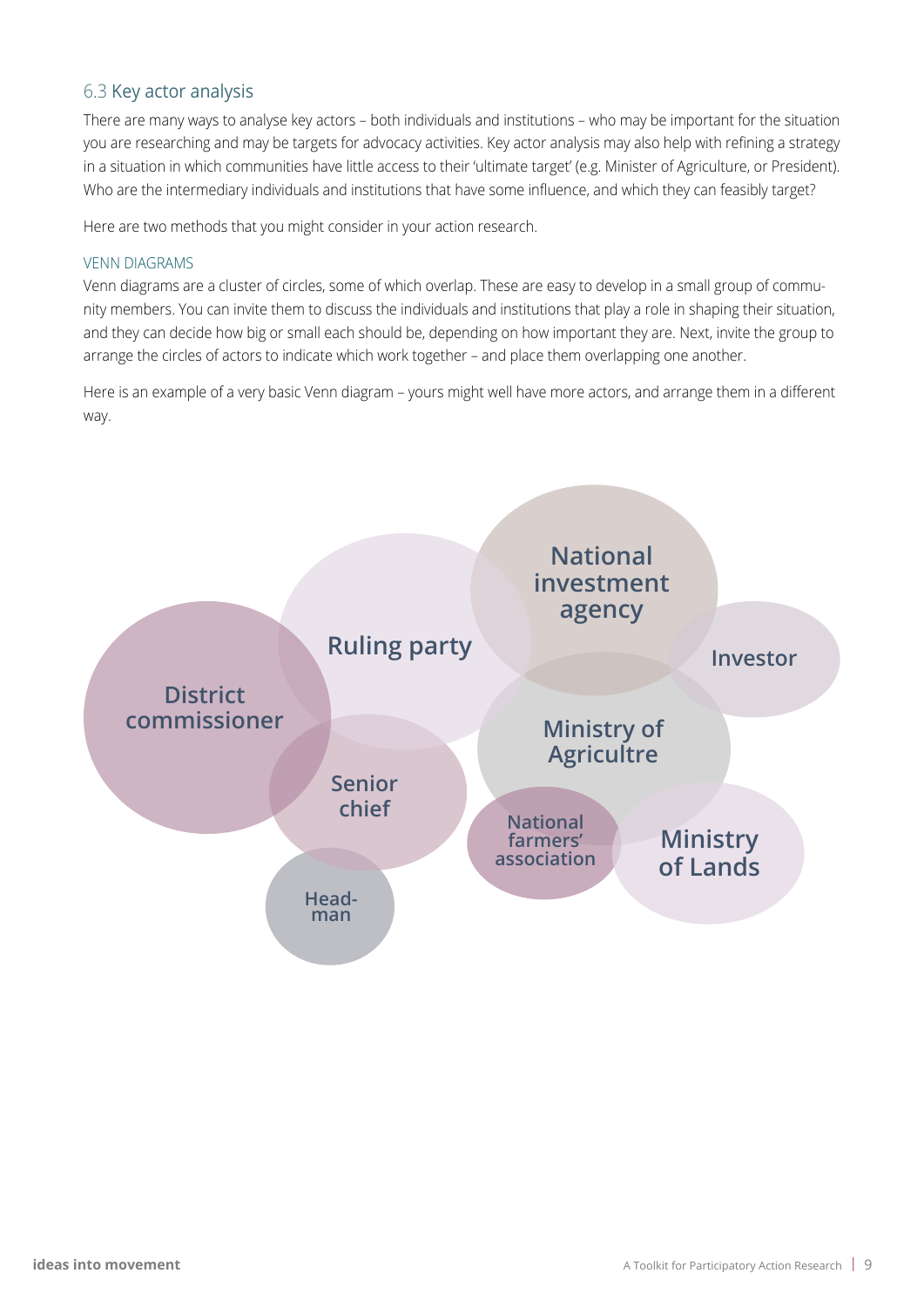#### 6.3 Key actor analysis

There are many ways to analyse key actors – both individuals and institutions – who may be important for the situation you are researching and may be targets for advocacy activities. Key actor analysis may also help with refining a strategy in a situation in which communities have little access to their 'ultimate target' (e.g. Minister of Agriculture, or President). Who are the intermediary individuals and institutions that have some influence, and which they can feasibly target?

Here are two methods that you might consider in your action research.

#### VENN DIAGRAMS

Venn diagrams are a cluster of circles, some of which overlap. These are easy to develop in a small group of community members. You can invite them to discuss the individuals and institutions that play a role in shaping their situation, and they can decide how big or small each should be, depending on how important they are. Next, invite the group to arrange the circles of actors to indicate which work together – and place them overlapping one another.

Here is an example of a very basic Venn diagram – yours might well have more actors, and arrange them in a different way.

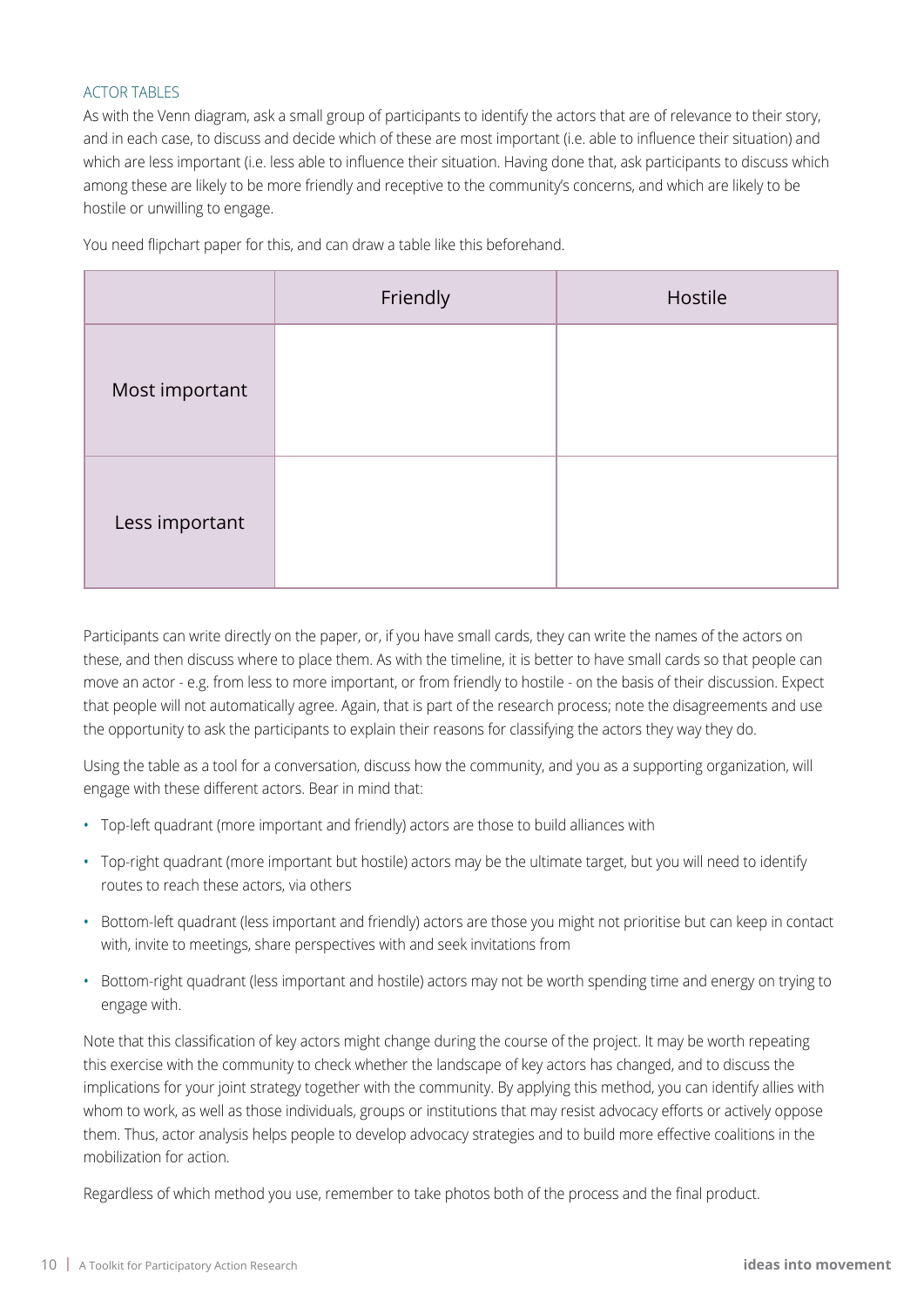#### ACTOR TABLES

As with the Venn diagram, ask a small group of participants to identify the actors that are of relevance to their story, and in each case, to discuss and decide which of these are most important (i.e. able to influence their situation) and which are less important (i.e. less able to influence their situation. Having done that, ask participants to discuss which among these are likely to be more friendly and receptive to the community's concerns, and which are likely to be hostile or unwilling to engage.

|                | Friendly | Hostile |
|----------------|----------|---------|
| Most important |          |         |
| Less important |          |         |

You need flipchart paper for this, and can draw a table like this beforehand.

Participants can write directly on the paper, or, if you have small cards, they can write the names of the actors on these, and then discuss where to place them. As with the timeline, it is better to have small cards so that people can move an actor - e.g. from less to more important, or from friendly to hostile - on the basis of their discussion. Expect that people will not automatically agree. Again, that is part of the research process; note the disagreements and use the opportunity to ask the participants to explain their reasons for classifying the actors they way they do.

Using the table as a tool for a conversation, discuss how the community, and you as a supporting organization, will engage with these different actors. Bear in mind that:

- • Top-left quadrant (more important and friendly) actors are those to build alliances with
- Top-right quadrant (more important but hostile) actors may be the ultimate target, but you will need to identify routes to reach these actors, via others
- • Bottom-left quadrant (less important and friendly) actors are those you might not prioritise but can keep in contact with, invite to meetings, share perspectives with and seek invitations from
- Bottom-right quadrant (less important and hostile) actors may not be worth spending time and energy on trying to engage with.

Note that this classification of key actors might change during the course of the project. It may be worth repeating this exercise with the community to check whether the landscape of key actors has changed, and to discuss the implications for your joint strategy together with the community. By applying this method, you can identify allies with whom to work, as well as those individuals, groups or institutions that may resist advocacy efforts or actively oppose them. Thus, actor analysis helps people to develop advocacy strategies and to build more effective coalitions in the mobilization for action.

Regardless of which method you use, remember to take photos both of the process and the final product.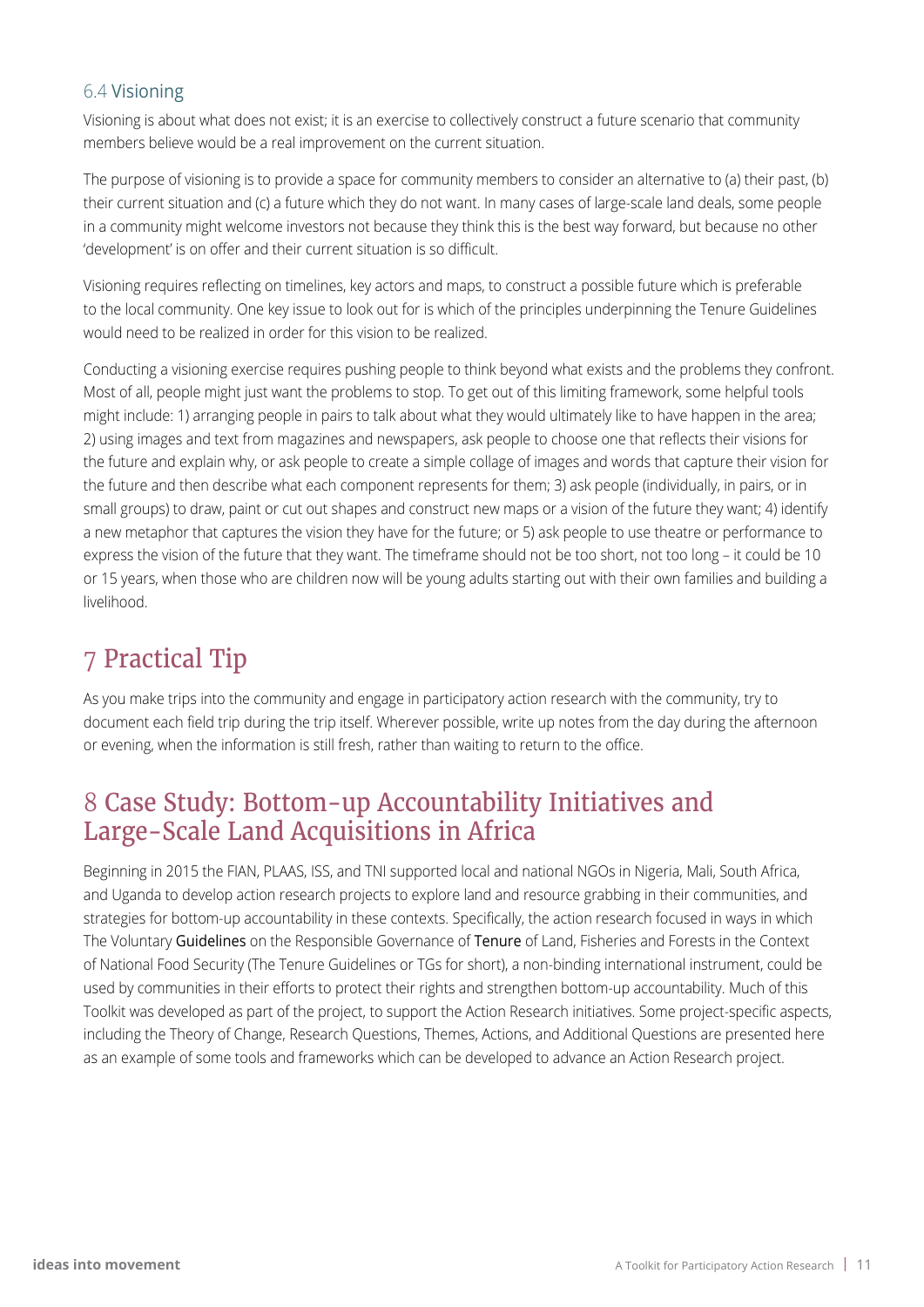#### 6.4 Visioning

Visioning is about what does not exist; it is an exercise to collectively construct a future scenario that community members believe would be a real improvement on the current situation.

The purpose of visioning is to provide a space for community members to consider an alternative to (a) their past, (b) their current situation and (c) a future which they do not want. In many cases of large-scale land deals, some people in a community might welcome investors not because they think this is the best way forward, but because no other 'development' is on offer and their current situation is so difficult.

Visioning requires reflecting on timelines, key actors and maps, to construct a possible future which is preferable to the local community. One key issue to look out for is which of the principles underpinning the Tenure Guidelines would need to be realized in order for this vision to be realized.

Conducting a visioning exercise requires pushing people to think beyond what exists and the problems they confront. Most of all, people might just want the problems to stop. To get out of this limiting framework, some helpful tools might include: 1) arranging people in pairs to talk about what they would ultimately like to have happen in the area; 2) using images and text from magazines and newspapers, ask people to choose one that reflects their visions for the future and explain why, or ask people to create a simple collage of images and words that capture their vision for the future and then describe what each component represents for them; 3) ask people (individually, in pairs, or in small groups) to draw, paint or cut out shapes and construct new maps or a vision of the future they want; 4) identify a new metaphor that captures the vision they have for the future; or 5) ask people to use theatre or performance to express the vision of the future that they want. The timeframe should not be too short, not too long – it could be 10 or 15 years, when those who are children now will be young adults starting out with their own families and building a livelihood.

### 7 Practical Tip

As you make trips into the community and engage in participatory action research with the community, try to document each field trip during the trip itself. Wherever possible, write up notes from the day during the afternoon or evening, when the information is still fresh, rather than waiting to return to the office.

### 8 Case Study: Bottom-up Accountability Initiatives and Large-Scale Land Acquisitions in Africa

Beginning in 2015 the FIAN, PLAAS, ISS, and TNI supported local and national NGOs in Nigeria, Mali, South Africa, and Uganda to develop action research projects to explore land and resource grabbing in their communities, and strategies for bottom-up accountability in these contexts. Specifically, the action research focused in ways in which The Voluntary Guidelines on the Responsible Governance of Tenure of Land, Fisheries and Forests in the Context of National Food Security (The Tenure Guidelines or TGs for short), a non-binding international instrument, could be used by communities in their efforts to protect their rights and strengthen bottom-up accountability. Much of this Toolkit was developed as part of the project, to support the Action Research initiatives. Some project-specific aspects, including the Theory of Change, Research Questions, Themes, Actions, and Additional Questions are presented here as an example of some tools and frameworks which can be developed to advance an Action Research project.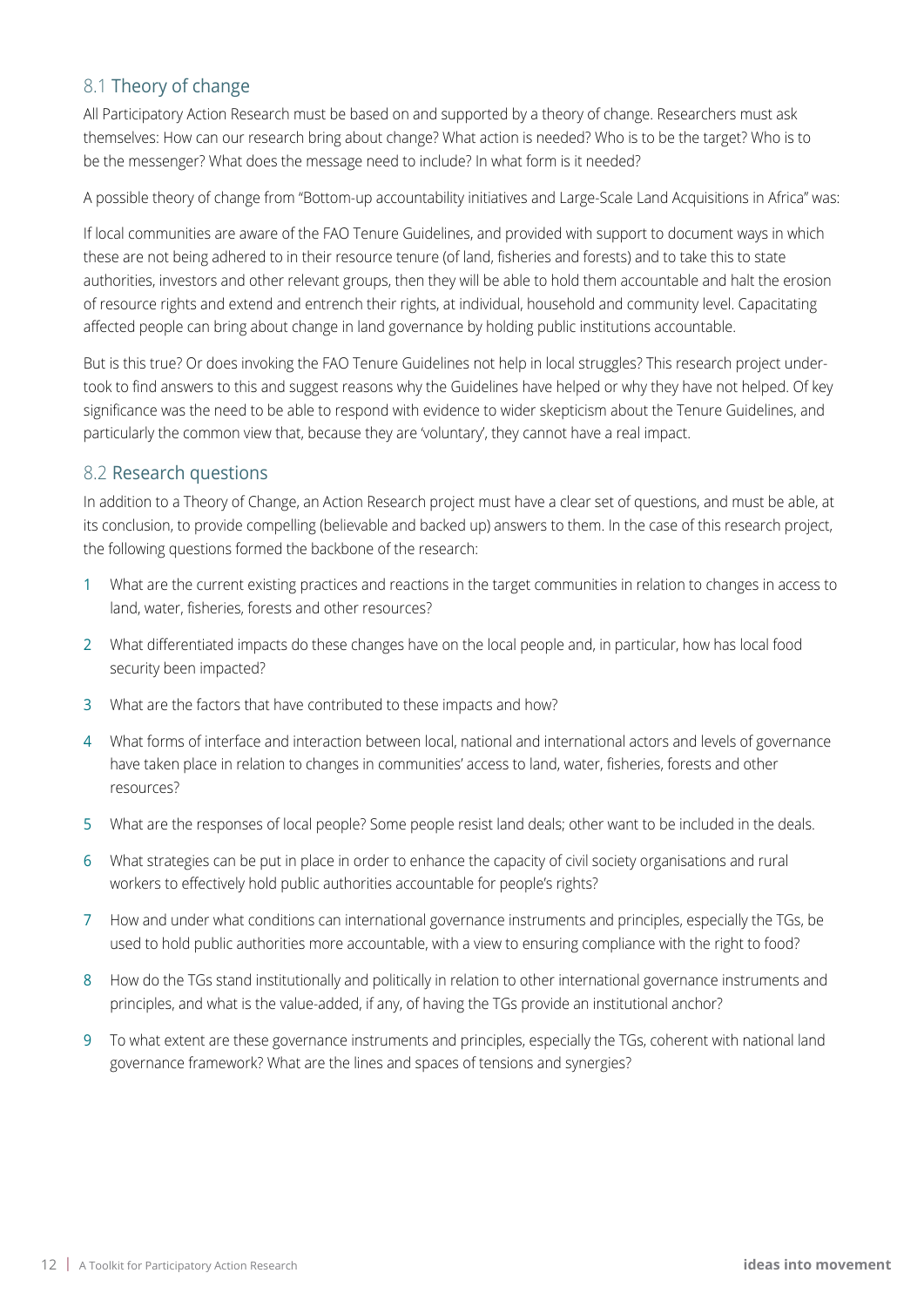#### 8.1 Theory of change

All Participatory Action Research must be based on and supported by a theory of change. Researchers must ask themselves: How can our research bring about change? What action is needed? Who is to be the target? Who is to be the messenger? What does the message need to include? In what form is it needed?

A possible theory of change from "Bottom-up accountability initiatives and Large-Scale Land Acquisitions in Africa" was:

If local communities are aware of the FAO Tenure Guidelines, and provided with support to document ways in which these are not being adhered to in their resource tenure (of land, fisheries and forests) and to take this to state authorities, investors and other relevant groups, then they will be able to hold them accountable and halt the erosion of resource rights and extend and entrench their rights, at individual, household and community level. Capacitating affected people can bring about change in land governance by holding public institutions accountable.

But is this true? Or does invoking the FAO Tenure Guidelines not help in local struggles? This research project undertook to find answers to this and suggest reasons why the Guidelines have helped or why they have not helped. Of key significance was the need to be able to respond with evidence to wider skepticism about the Tenure Guidelines, and particularly the common view that, because they are 'voluntary', they cannot have a real impact.

#### 8.2 Research questions

In addition to a Theory of Change, an Action Research project must have a clear set of questions, and must be able, at its conclusion, to provide compelling (believable and backed up) answers to them. In the case of this research project, the following questions formed the backbone of the research:

- 1 What are the current existing practices and reactions in the target communities in relation to changes in access to land, water, fisheries, forests and other resources?
- 2 What differentiated impacts do these changes have on the local people and, in particular, how has local food security been impacted?
- 3 What are the factors that have contributed to these impacts and how?
- 4 What forms of interface and interaction between local, national and international actors and levels of governance have taken place in relation to changes in communities' access to land, water, fisheries, forests and other resources?
- 5 What are the responses of local people? Some people resist land deals; other want to be included in the deals.
- 6 What strategies can be put in place in order to enhance the capacity of civil society organisations and rural workers to effectively hold public authorities accountable for people's rights?
- 7 How and under what conditions can international governance instruments and principles, especially the TGs, be used to hold public authorities more accountable, with a view to ensuring compliance with the right to food?
- 8 How do the TGs stand institutionally and politically in relation to other international governance instruments and principles, and what is the value-added, if any, of having the TGs provide an institutional anchor?
- 9 To what extent are these governance instruments and principles, especially the TGs, coherent with national land governance framework? What are the lines and spaces of tensions and synergies?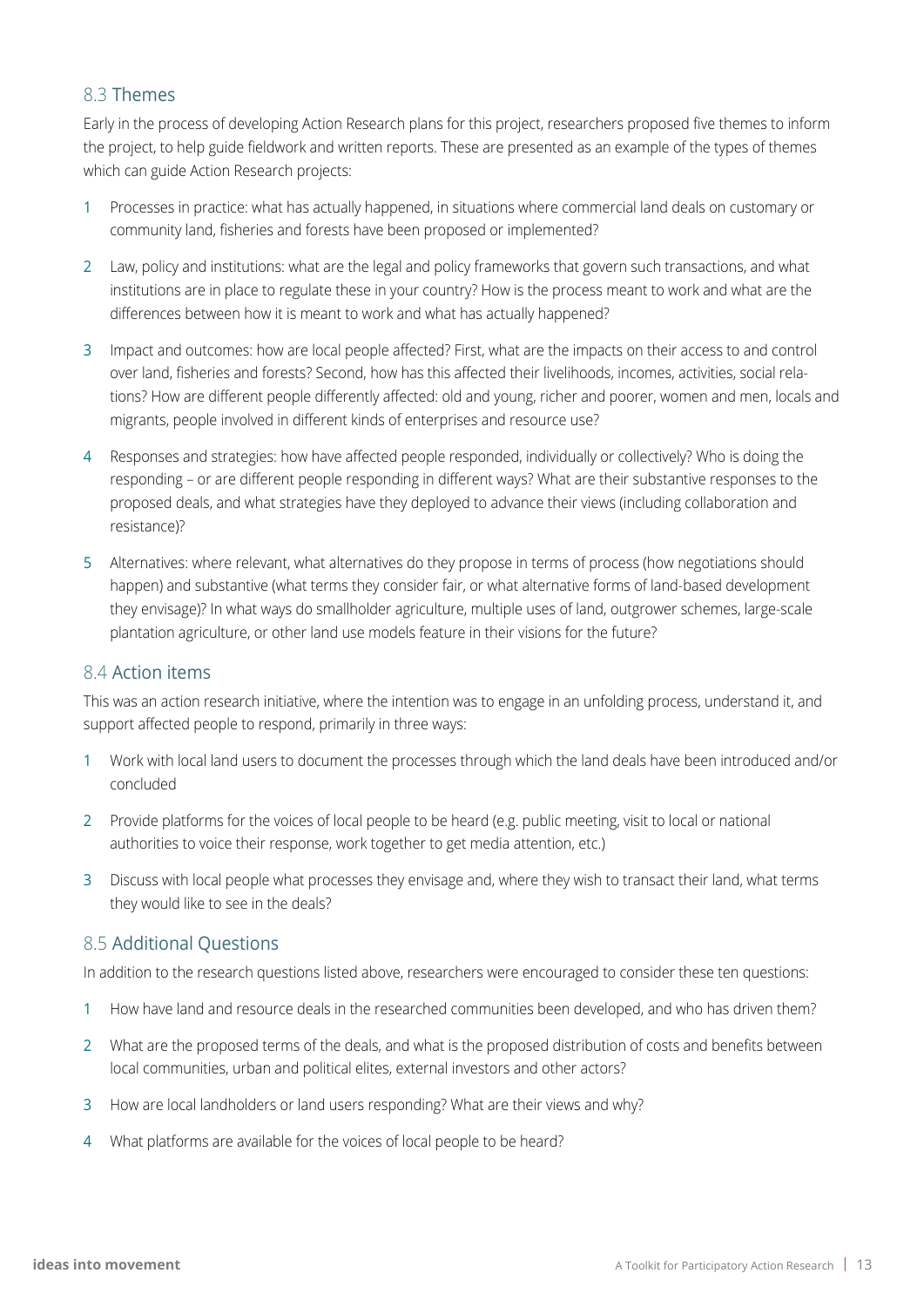#### 8.3 Themes

Early in the process of developing Action Research plans for this project, researchers proposed five themes to inform the project, to help guide fieldwork and written reports. These are presented as an example of the types of themes which can guide Action Research projects:

- 1 Processes in practice: what has actually happened, in situations where commercial land deals on customary or community land, fisheries and forests have been proposed or implemented?
- 2 Law, policy and institutions: what are the legal and policy frameworks that govern such transactions, and what institutions are in place to regulate these in your country? How is the process meant to work and what are the differences between how it is meant to work and what has actually happened?
- 3 Impact and outcomes: how are local people affected? First, what are the impacts on their access to and control over land, fisheries and forests? Second, how has this affected their livelihoods, incomes, activities, social relations? How are different people differently affected: old and young, richer and poorer, women and men, locals and migrants, people involved in different kinds of enterprises and resource use?
- 4 Responses and strategies: how have affected people responded, individually or collectively? Who is doing the responding – or are different people responding in different ways? What are their substantive responses to the proposed deals, and what strategies have they deployed to advance their views (including collaboration and resistance)?
- 5 Alternatives: where relevant, what alternatives do they propose in terms of process (how negotiations should happen) and substantive (what terms they consider fair, or what alternative forms of land-based development they envisage)? In what ways do smallholder agriculture, multiple uses of land, outgrower schemes, large-scale plantation agriculture, or other land use models feature in their visions for the future?

#### 8.4 Action items

This was an action research initiative, where the intention was to engage in an unfolding process, understand it, and support affected people to respond, primarily in three ways:

- 1 Work with local land users to document the processes through which the land deals have been introduced and/or concluded
- 2 Provide platforms for the voices of local people to be heard (e.g. public meeting, visit to local or national authorities to voice their response, work together to get media attention, etc.)
- 3 Discuss with local people what processes they envisage and, where they wish to transact their land, what terms they would like to see in the deals?

#### 8.5 Additional Questions

In addition to the research questions listed above, researchers were encouraged to consider these ten questions:

- 1 How have land and resource deals in the researched communities been developed, and who has driven them?
- 2 What are the proposed terms of the deals, and what is the proposed distribution of costs and benefits between local communities, urban and political elites, external investors and other actors?
- 3 How are local landholders or land users responding? What are their views and why?
- 4 What platforms are available for the voices of local people to be heard?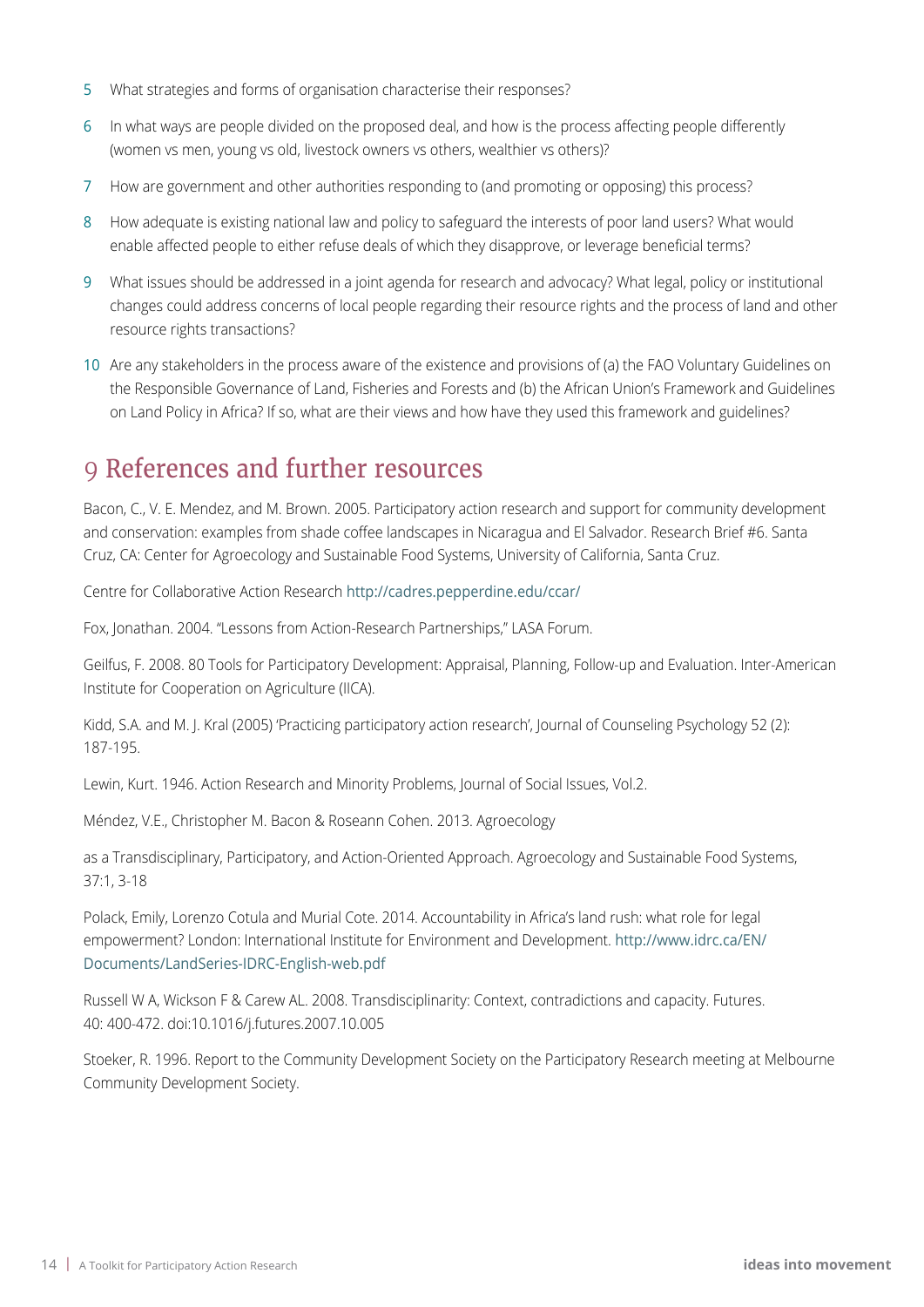- 5 What strategies and forms of organisation characterise their responses?
- 6 In what ways are people divided on the proposed deal, and how is the process affecting people differently (women vs men, young vs old, livestock owners vs others, wealthier vs others)?
- 7 How are government and other authorities responding to (and promoting or opposing) this process?
- 8 How adequate is existing national law and policy to safeguard the interests of poor land users? What would enable affected people to either refuse deals of which they disapprove, or leverage beneficial terms?
- 9 What issues should be addressed in a joint agenda for research and advocacy? What legal, policy or institutional changes could address concerns of local people regarding their resource rights and the process of land and other resource rights transactions?
- 10 Are any stakeholders in the process aware of the existence and provisions of (a) the FAO Voluntary Guidelines on the Responsible Governance of Land, Fisheries and Forests and (b) the African Union's Framework and Guidelines on Land Policy in Africa? If so, what are their views and how have they used this framework and guidelines?

### 9 References and further resources

Bacon, C., V. E. Mendez, and M. Brown. 2005. Participatory action research and support for community development and conservation: examples from shade coffee landscapes in Nicaragua and El Salvador. Research Brief #6. Santa Cruz, CA: Center for Agroecology and Sustainable Food Systems, University of California, Santa Cruz.

Centre for Collaborative Action Research <http://cadres.pepperdine.edu/ccar/>

Fox, Jonathan. 2004. "Lessons from Action-Research Partnerships," LASA Forum.

Geilfus, F. 2008. 80 Tools for Participatory Development: Appraisal, Planning, Follow-up and Evaluation. Inter-American Institute for Cooperation on Agriculture (IICA).

Kidd, S.A. and M. J. Kral (2005) 'Practicing participatory action research', Journal of Counseling Psychology 52 (2): 187-195.

Lewin, Kurt. 1946. Action Research and Minority Problems, Journal of Social Issues, Vol.2.

Méndez, V.E., Christopher M. Bacon & Roseann Cohen. 2013. Agroecology

as a Transdisciplinary, Participatory, and Action-Oriented Approach. Agroecology and Sustainable Food Systems, 37:1, 3-18

Polack, Emily, Lorenzo Cotula and Murial Cote. 2014. Accountability in Africa's land rush: what role for legal empowerment? London: International Institute for Environment and Development. [http://www.idrc.ca/EN/](http://www.idrc.ca/EN/Documents/LandSeries-IDRC-English-web.pdf) [Documents/LandSeries-IDRC-English-web.pdf](http://www.idrc.ca/EN/Documents/LandSeries-IDRC-English-web.pdf)

Russell W A, Wickson F & Carew AL. 2008. Transdisciplinarity: Context, contradictions and capacity. Futures. 40: 400-472. doi:10.1016/j.futures.2007.10.005

Stoeker, R. 1996. Report to the Community Development Society on the Participatory Research meeting at Melbourne Community Development Society.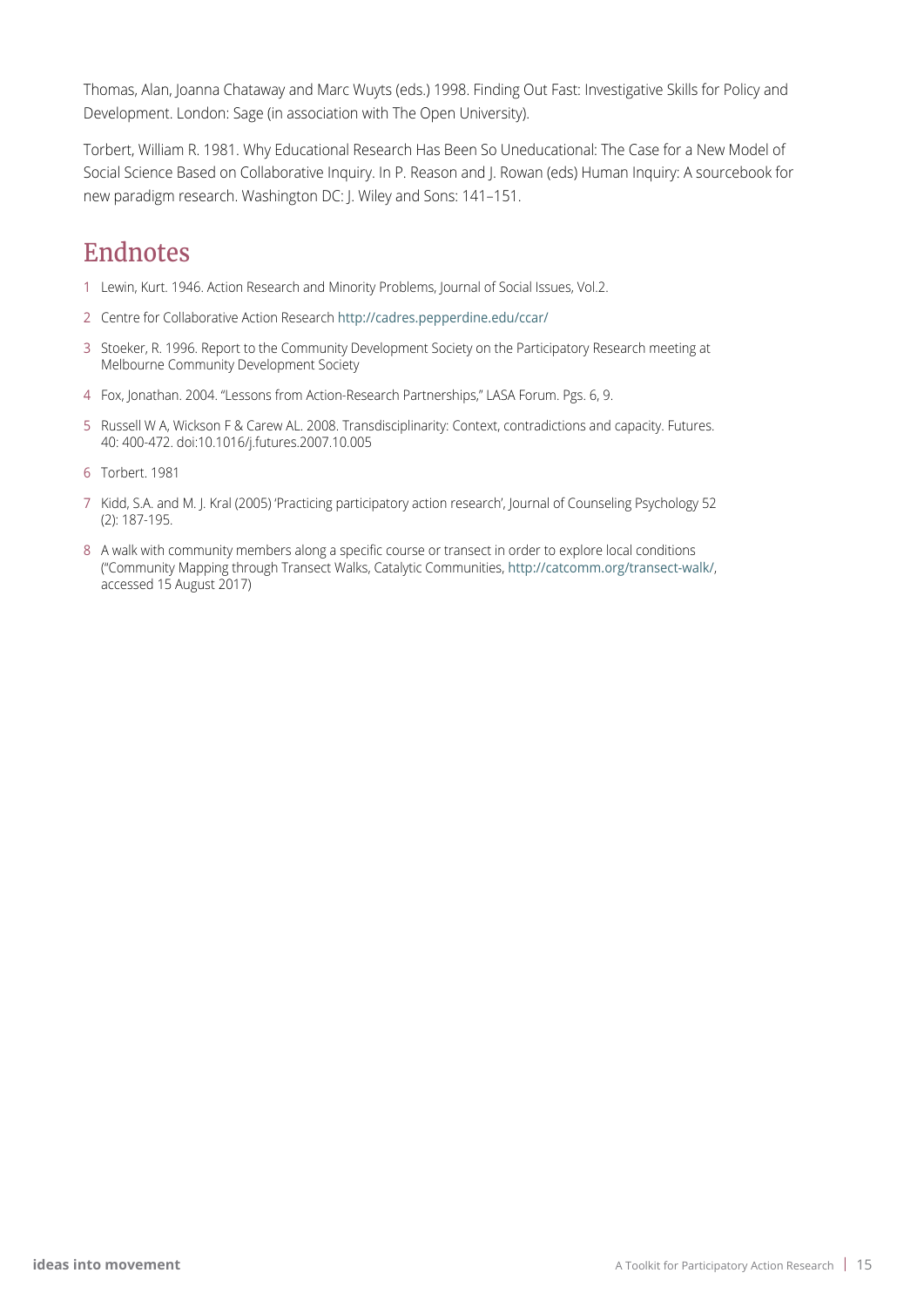Thomas, Alan, Joanna Chataway and Marc Wuyts (eds.) 1998. Finding Out Fast: Investigative Skills for Policy and Development. London: Sage (in association with The Open University).

Torbert, William R. 1981. Why Educational Research Has Been So Uneducational: The Case for a New Model of Social Science Based on Collaborative Inquiry. In P. Reason and J. Rowan (eds) Human Inquiry: A sourcebook for new paradigm research. Washington DC: J. Wiley and Sons: 141–151.

### Endnotes

- 1 Lewin, Kurt. 1946. Action Research and Minority Problems, Journal of Social Issues, Vol.2.
- 2 Centre for Collaborative Action Research http://cadres.pepperdine.edu/ccar/
- 3 Stoeker, R. 1996. Report to the Community Development Society on the Participatory Research meeting at Melbourne Community Development Society
- 4 Fox, Jonathan. 2004. "Lessons from Action-Research Partnerships," LASA Forum. Pgs. 6, 9.
- 5 Russell W A, Wickson F & Carew AL. 2008. Transdisciplinarity: Context, contradictions and capacity. Futures. 40: 400-472. doi:10.1016/j.futures.2007.10.005
- 6 Torbert. 1981
- 7 Kidd, S.A. and M. J. Kral (2005) 'Practicing participatory action research', Journal of Counseling Psychology 52 (2): 187-195.
- 8 A walk with community members along a specific course or transect in order to explore local conditions ("Community Mapping through Transect Walks, Catalytic Communities, <http://catcomm.org/transect-walk/>, accessed 15 August 2017)